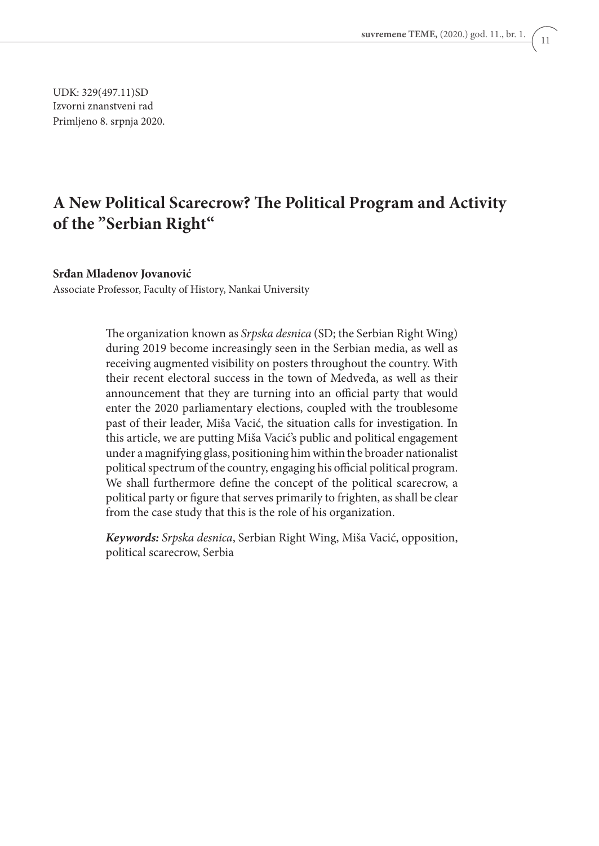UDK: 329(497.11)SD Izvorni znanstveni rad Primljeno 8. srpnja 2020.

## **A New Political Scarecrow? The Political Program and Activity of the "Serbian Right"**

#### **Srđan Mladenov Jovanović**

Associate Professor, Faculty of History, Nankai University

The organization known as *Srpska desnica* (SD; the Serbian Right Wing) during 2019 become increasingly seen in the Serbian media, as well as receiving augmented visibility on posters throughout the country. With their recent electoral success in the town of Medveđa, as well as their announcement that they are turning into an official party that would enter the 2020 parliamentary elections, coupled with the troublesome past of their leader, Miša Vacić, the situation calls for investigation. In this article, we are putting Miša Vacić's public and political engagement under a magnifying glass, positioning him within the broader nationalist political spectrum of the country, engaging his official political program. We shall furthermore define the concept of the political scarecrow, a political party or figure that serves primarily to frighten, as shall be clear from the case study that this is the role of his organization.

*Keywords: Srpska desnica*, Serbian Right Wing, Miša Vacić, opposition, political scarecrow, Serbia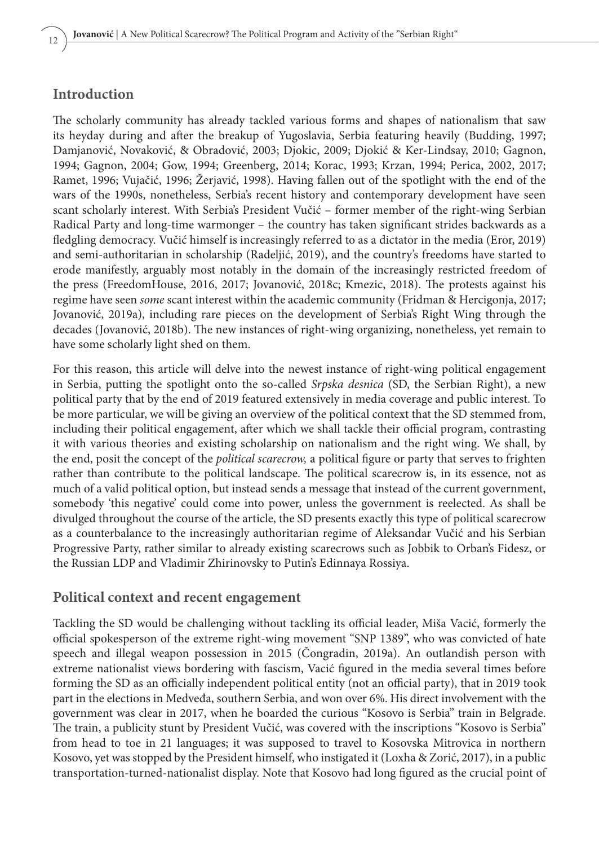### **Introduction**

The scholarly community has already tackled various forms and shapes of nationalism that saw its heyday during and after the breakup of Yugoslavia, Serbia featuring heavily (Budding, 1997; Damjanović, Novaković, & Obradović, 2003; Djokic, 2009; Djokić & Ker-Lindsay, 2010; Gagnon, 1994; Gagnon, 2004; Gow, 1994; Greenberg, 2014; Korac, 1993; Krzan, 1994; Perica, 2002, 2017; Ramet, 1996; Vujačić, 1996; Žerjavić, 1998). Having fallen out of the spotlight with the end of the wars of the 1990s, nonetheless, Serbia's recent history and contemporary development have seen scant scholarly interest. With Serbia's President Vučić – former member of the right-wing Serbian Radical Party and long-time warmonger – the country has taken significant strides backwards as a fledgling democracy. Vučić himself is increasingly referred to as a dictator in the media (Eror, 2019) and semi-authoritarian in scholarship (Radeljić, 2019), and the country's freedoms have started to erode manifestly, arguably most notably in the domain of the increasingly restricted freedom of the press (FreedomHouse, 2016, 2017; Jovanović, 2018c; Kmezic, 2018). The protests against his regime have seen *some* scant interest within the academic community (Fridman & Hercigonja, 2017; Jovanović, 2019a), including rare pieces on the development of Serbia's Right Wing through the decades (Jovanović, 2018b). The new instances of right-wing organizing, nonetheless, yet remain to have some scholarly light shed on them.

For this reason, this article will delve into the newest instance of right-wing political engagement in Serbia, putting the spotlight onto the so-called *Srpska desnica* (SD, the Serbian Right), a new political party that by the end of 2019 featured extensively in media coverage and public interest. To be more particular, we will be giving an overview of the political context that the SD stemmed from, including their political engagement, after which we shall tackle their official program, contrasting it with various theories and existing scholarship on nationalism and the right wing. We shall, by the end, posit the concept of the *political scarecrow,* a political figure or party that serves to frighten rather than contribute to the political landscape. The political scarecrow is, in its essence, not as much of a valid political option, but instead sends a message that instead of the current government, somebody 'this negative' could come into power, unless the government is reelected. As shall be divulged throughout the course of the article, the SD presents exactly this type of political scarecrow as a counterbalance to the increasingly authoritarian regime of Aleksandar Vučić and his Serbian Progressive Party, rather similar to already existing scarecrows such as Jobbik to Orban's Fidesz, or the Russian LDP and Vladimir Zhirinovsky to Putin's Edinnaya Rossiya.

#### **Political context and recent engagement**

Tackling the SD would be challenging without tackling its official leader, Miša Vacić, formerly the official spokesperson of the extreme right-wing movement "SNP 1389", who was convicted of hate speech and illegal weapon possession in 2015 (Čongradin, 2019a). An outlandish person with extreme nationalist views bordering with fascism, Vacić figured in the media several times before forming the SD as an officially independent political entity (not an official party), that in 2019 took part in the elections in Medveđa, southern Serbia, and won over 6%. His direct involvement with the government was clear in 2017, when he boarded the curious "Kosovo is Serbia" train in Belgrade. The train, a publicity stunt by President Vučić, was covered with the inscriptions "Kosovo is Serbia" from head to toe in 21 languages; it was supposed to travel to Kosovska Mitrovica in northern Kosovo, yet was stopped by the President himself, who instigated it (Loxha & Zorić, 2017), in a public transportation-turned-nationalist display. Note that Kosovo had long figured as the crucial point of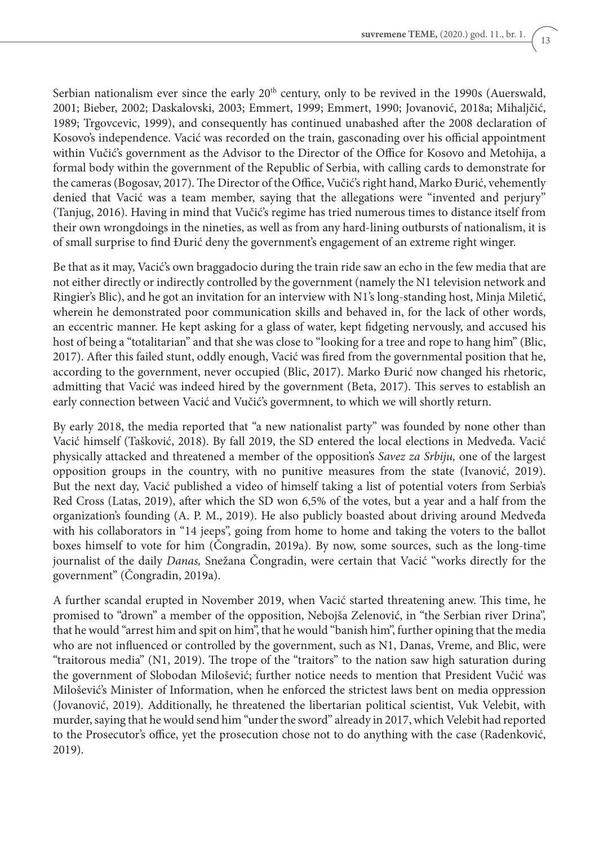Serbian nationalism ever since the early  $20<sup>th</sup>$  century, only to be revived in the 1990s (Auerswald, 2001; Bieber, 2002; Daskalovski, 2003; Emmert, 1999; Emmert, 1990; Jovanović, 2018a; Mihaljčić, 1989; Trgovcevic, 1999), and consequently has continued unabashed after the 2008 declaration of Kosovo's independence. Vacić was recorded on the train, gasconading over his official appointment within Vučić's government as the Advisor to the Director of the Office for Kosovo and Metohija, a formal body within the government of the Republic of Serbia, with calling cards to demonstrate for the cameras (Bogosav, 2017). The Director of the Office, Vučić's right hand, Marko Đurić, vehemently denied that Vacić was a team member, saying that the allegations were "invented and perjury" (Tanjug, 2016). Having in mind that Vučić's regime has tried numerous times to distance itself from their own wrongdoings in the nineties, as well as from any hard-lining outbursts of nationalism, it is of small surprise to find Đurić deny the government's engagement of an extreme right winger.

Be that as it may, Vacić's own braggadocio during the train ride saw an echo in the few media that are not either directly or indirectly controlled by the government (namely the N1 television network and Ringier's Blic), and he got an invitation for an interview with N1's long-standing host, Minja Miletić, wherein he demonstrated poor communication skills and behaved in, for the lack of other words, an eccentric manner. He kept asking for a glass of water, kept fidgeting nervously, and accused his host of being a "totalitarian" and that she was close to "looking for a tree and rope to hang him" (Blic, 2017). After this failed stunt, oddly enough, Vacić was fired from the governmental position that he, according to the government, never occupied (Blic, 2017). Marko Đurić now changed his rhetoric, admitting that Vacić was indeed hired by the government (Beta, 2017). This serves to establish an early connection between Vacić and Vučić's govermnent, to which we will shortly return.

By early 2018, the media reported that "a new nationalist party" was founded by none other than Vacić himself (Tašković, 2018). By fall 2019, the SD entered the local elections in Medveđa. Vacić physically attacked and threatened a member of the opposition's *Savez za Srbiju,* one of the largest opposition groups in the country, with no punitive measures from the state (Ivanović, 2019). But the next day, Vacić published a video of himself taking a list of potential voters from Serbia's Red Cross (Latas, 2019), after which the SD won 6,5% of the votes, but a year and a half from the organization's founding (A. P. M., 2019). He also publicly boasted about driving around Medveđa with his collaborators in "14 jeeps", going from home to home and taking the voters to the ballot boxes himself to vote for him (Čongradin, 2019a). By now, some sources, such as the long-time journalist of the daily *Danas,* Snežana Čongradin, were certain that Vacić "works directly for the government" (Čongradin, 2019a).

A further scandal erupted in November 2019, when Vacić started threatening anew. This time, he promised to "drown" a member of the opposition, Nebojša Zelenović, in "the Serbian river Drina", that he would "arrest him and spit on him", that he would "banish him", further opining that the media who are not influenced or controlled by the government, such as N1, Danas, Vreme, and Blic, were "traitorous media" (N1, 2019). The trope of the "traitors" to the nation saw high saturation during the government of Slobodan Milošević; further notice needs to mention that President Vučić was Milošević's Minister of Information, when he enforced the strictest laws bent on media oppression (Jovanović, 2019). Additionally, he threatened the libertarian political scientist, Vuk Velebit, with murder, saying that he would send him "under the sword" already in 2017, which Velebit had reported to the Prosecutor's office, yet the prosecution chose not to do anything with the case (Radenković, 2019).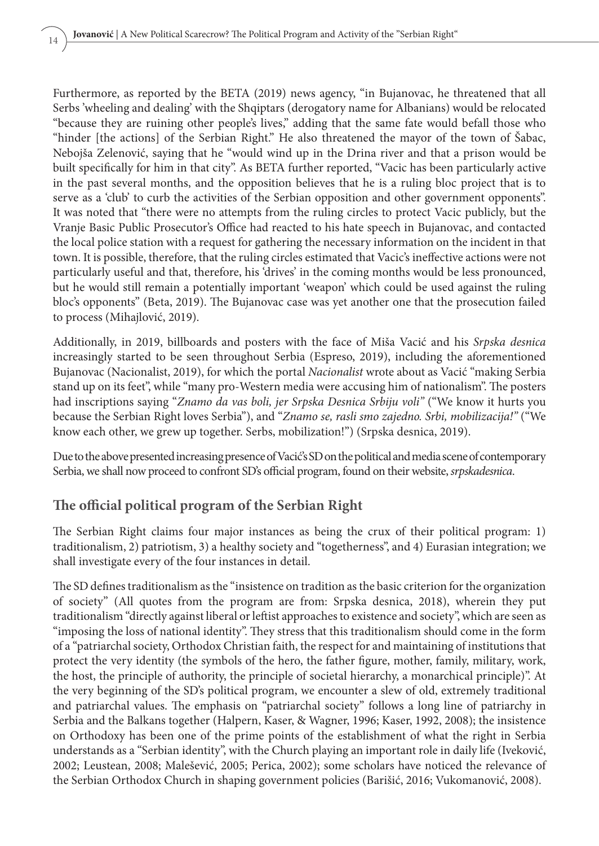Furthermore, as reported by the BETA (2019) news agency, "in Bujanovac, he threatened that all Serbs 'wheeling and dealing' with the Shqiptars (derogatory name for Albanians) would be relocated "because they are ruining other people's lives," adding that the same fate would befall those who "hinder [the actions] of the Serbian Right." He also threatened the mayor of the town of Šabac, Nebojša Zelenović, saying that he "would wind up in the Drina river and that a prison would be built specifically for him in that city". As BETA further reported, "Vacic has been particularly active in the past several months, and the opposition believes that he is a ruling bloc project that is to serve as a 'club' to curb the activities of the Serbian opposition and other government opponents". It was noted that "there were no attempts from the ruling circles to protect Vacic publicly, but the Vranje Basic Public Prosecutor's Office had reacted to his hate speech in Bujanovac, and contacted the local police station with a request for gathering the necessary information on the incident in that town. It is possible, therefore, that the ruling circles estimated that Vacic's ineffective actions were not particularly useful and that, therefore, his 'drives' in the coming months would be less pronounced, but he would still remain a potentially important 'weapon' which could be used against the ruling bloc's opponents" (Beta, 2019). The Bujanovac case was yet another one that the prosecution failed to process (Mihajlović, 2019).

Additionally, in 2019, billboards and posters with the face of Miša Vacić and his *Srpska desnica*  increasingly started to be seen throughout Serbia (Espreso, 2019), including the aforementioned Bujanovac (Nacionalist, 2019), for which the portal *Nacionalist* wrote about as Vacić "making Serbia stand up on its feet", while "many pro-Western media were accusing him of nationalism". The posters had inscriptions saying "*Znamo da vas boli, jer Srpska Desnica Srbiju voli"* ("We know it hurts you because the Serbian Right loves Serbia"), and "*Znamo se, rasli smo zajedno. Srbi, mobilizacija!"* ("We know each other, we grew up together. Serbs, mobilization!") (Srpska desnica, 2019).

Due to the above presented increasing presence of Vacić's SD on the political and media scene of contemporary Serbia, we shall now proceed to confront SD's official program, found on their website, *srpskadesnica*.

### **The official political program of the Serbian Right**

The Serbian Right claims four major instances as being the crux of their political program: 1) traditionalism, 2) patriotism, 3) a healthy society and "togetherness", and 4) Eurasian integration; we shall investigate every of the four instances in detail.

The SD defines traditionalism as the "insistence on tradition as the basic criterion for the organization of society" (All quotes from the program are from: Srpska desnica, 2018), wherein they put traditionalism "directly against liberal or leftist approaches to existence and society", which are seen as "imposing the loss of national identity". They stress that this traditionalism should come in the form of a "patriarchal society, Orthodox Christian faith, the respect for and maintaining of institutions that protect the very identity (the symbols of the hero, the father figure, mother, family, military, work, the host, the principle of authority, the principle of societal hierarchy, a monarchical principle)". At the very beginning of the SD's political program, we encounter a slew of old, extremely traditional and patriarchal values. The emphasis on "patriarchal society" follows a long line of patriarchy in Serbia and the Balkans together (Halpern, Kaser, & Wagner, 1996; Kaser, 1992, 2008); the insistence on Orthodoxy has been one of the prime points of the establishment of what the right in Serbia understands as a "Serbian identity", with the Church playing an important role in daily life (Iveković, 2002; Leustean, 2008; Malešević, 2005; Perica, 2002); some scholars have noticed the relevance of the Serbian Orthodox Church in shaping government policies (Barišić, 2016; Vukomanović, 2008).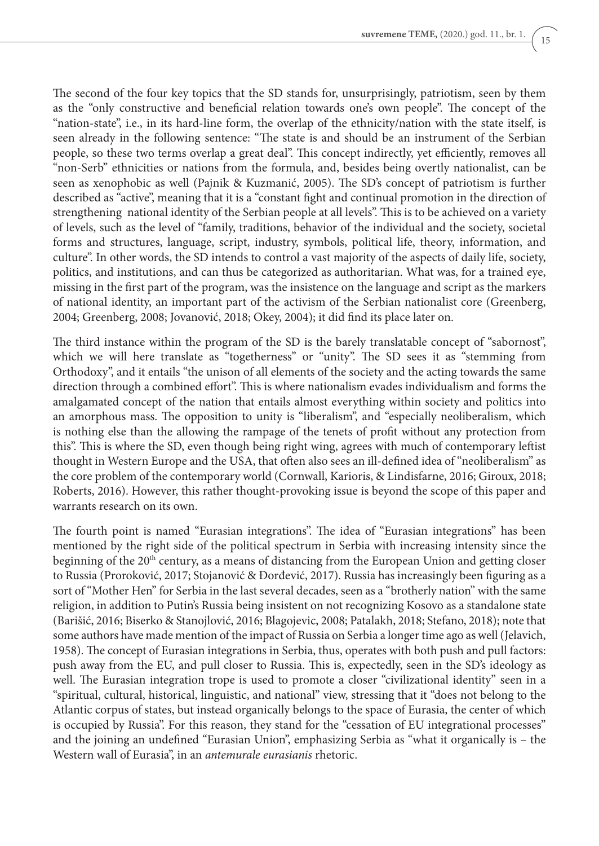The second of the four key topics that the SD stands for, unsurprisingly, patriotism, seen by them as the "only constructive and beneficial relation towards one's own people". The concept of the "nation-state", i.e., in its hard-line form, the overlap of the ethnicity/nation with the state itself, is seen already in the following sentence: "The state is and should be an instrument of the Serbian people, so these two terms overlap a great deal". This concept indirectly, yet efficiently, removes all "non-Serb" ethnicities or nations from the formula, and, besides being overtly nationalist, can be seen as xenophobic as well (Pajnik & Kuzmanić, 2005). The SD's concept of patriotism is further described as "active", meaning that it is a "constant fight and continual promotion in the direction of strengthening national identity of the Serbian people at all levels". This is to be achieved on a variety of levels, such as the level of "family, traditions, behavior of the individual and the society, societal forms and structures, language, script, industry, symbols, political life, theory, information, and culture". In other words, the SD intends to control a vast majority of the aspects of daily life, society, politics, and institutions, and can thus be categorized as authoritarian. What was, for a trained eye, missing in the first part of the program, was the insistence on the language and script as the markers of national identity, an important part of the activism of the Serbian nationalist core (Greenberg, 2004; Greenberg, 2008; Jovanović, 2018; Okey, 2004); it did find its place later on.

The third instance within the program of the SD is the barely translatable concept of "sabornost", which we will here translate as "togetherness" or "unity". The SD sees it as "stemming from Orthodoxy", and it entails "the unison of all elements of the society and the acting towards the same direction through a combined effort". This is where nationalism evades individualism and forms the amalgamated concept of the nation that entails almost everything within society and politics into an amorphous mass. The opposition to unity is "liberalism", and "especially neoliberalism, which is nothing else than the allowing the rampage of the tenets of profit without any protection from this". This is where the SD, even though being right wing, agrees with much of contemporary leftist thought in Western Europe and the USA, that often also sees an ill-defined idea of "neoliberalism" as the core problem of the contemporary world (Cornwall, Karioris, & Lindisfarne, 2016; Giroux, 2018; Roberts, 2016). However, this rather thought-provoking issue is beyond the scope of this paper and warrants research on its own.

The fourth point is named "Eurasian integrations". The idea of "Eurasian integrations" has been mentioned by the right side of the political spectrum in Serbia with increasing intensity since the beginning of the 20<sup>th</sup> century, as a means of distancing from the European Union and getting closer to Russia (Proroković, 2017; Stojanović & Đorđević, 2017). Russia has increasingly been figuring as a sort of "Mother Hen" for Serbia in the last several decades, seen as a "brotherly nation" with the same religion, in addition to Putin's Russia being insistent on not recognizing Kosovo as a standalone state (Barišić, 2016; Biserko & Stanojlović, 2016; Blagojevic, 2008; Patalakh, 2018; Stefano, 2018); note that some authors have made mention of the impact of Russia on Serbia a longer time ago as well (Jelavich, 1958). The concept of Eurasian integrations in Serbia, thus, operates with both push and pull factors: push away from the EU, and pull closer to Russia. This is, expectedly, seen in the SD's ideology as well. The Eurasian integration trope is used to promote a closer "civilizational identity" seen in a "spiritual, cultural, historical, linguistic, and national" view, stressing that it "does not belong to the Atlantic corpus of states, but instead organically belongs to the space of Eurasia, the center of which is occupied by Russia". For this reason, they stand for the "cessation of EU integrational processes" and the joining an undefined "Eurasian Union", emphasizing Serbia as "what it organically is – the Western wall of Eurasia", in an *antemurale eurasianis* rhetoric.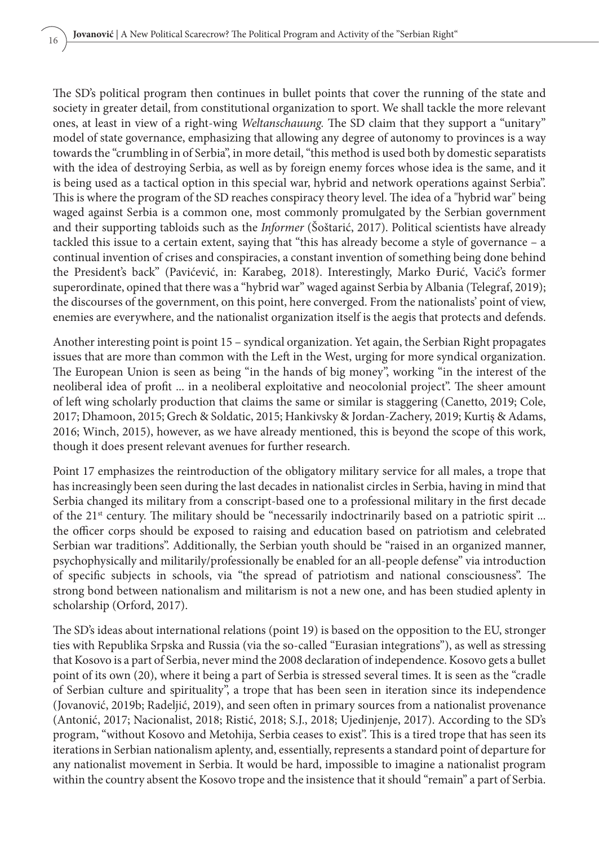The SD's political program then continues in bullet points that cover the running of the state and society in greater detail, from constitutional organization to sport. We shall tackle the more relevant ones, at least in view of a right-wing *Weltanschauung.* The SD claim that they support a "unitary" model of state governance, emphasizing that allowing any degree of autonomy to provinces is a way towards the "crumbling in of Serbia", in more detail, "this method is used both by domestic separatists with the idea of destroying Serbia, as well as by foreign enemy forces whose idea is the same, and it is being used as a tactical option in this special war, hybrid and network operations against Serbia". This is where the program of the SD reaches conspiracy theory level. The idea of a "hybrid war" being waged against Serbia is a common one, most commonly promulgated by the Serbian government and their supporting tabloids such as the *Informer* (Šoštarić, 2017). Political scientists have already tackled this issue to a certain extent, saying that "this has already become a style of governance – a continual invention of crises and conspiracies, a constant invention of something being done behind the President's back" (Pavićević, in: Karabeg, 2018). Interestingly, Marko Đurić, Vacić's former superordinate, opined that there was a "hybrid war" waged against Serbia by Albania (Telegraf, 2019); the discourses of the government, on this point, here converged. From the nationalists' point of view, enemies are everywhere, and the nationalist organization itself is the aegis that protects and defends.

Another interesting point is point 15 – syndical organization. Yet again, the Serbian Right propagates issues that are more than common with the Left in the West, urging for more syndical organization. The European Union is seen as being "in the hands of big money", working "in the interest of the neoliberal idea of profit ... in a neoliberal exploitative and neocolonial project". The sheer amount of left wing scholarly production that claims the same or similar is staggering (Canetto, 2019; Cole, 2017; Dhamoon, 2015; Grech & Soldatic, 2015; Hankivsky & Jordan-Zachery, 2019; Kurtiş & Adams, 2016; Winch, 2015), however, as we have already mentioned, this is beyond the scope of this work, though it does present relevant avenues for further research.

Point 17 emphasizes the reintroduction of the obligatory military service for all males, a trope that has increasingly been seen during the last decades in nationalist circles in Serbia, having in mind that Serbia changed its military from a conscript-based one to a professional military in the first decade of the 21st century. The military should be "necessarily indoctrinarily based on a patriotic spirit ... the officer corps should be exposed to raising and education based on patriotism and celebrated Serbian war traditions". Additionally, the Serbian youth should be "raised in an organized manner, psychophysically and militarily/professionally be enabled for an all-people defense" via introduction of specific subjects in schools, via "the spread of patriotism and national consciousness". The strong bond between nationalism and militarism is not a new one, and has been studied aplenty in scholarship (Orford, 2017).

The SD's ideas about international relations (point 19) is based on the opposition to the EU, stronger ties with Republika Srpska and Russia (via the so-called "Eurasian integrations"), as well as stressing that Kosovo is a part of Serbia, never mind the 2008 declaration of independence. Kosovo gets a bullet point of its own (20), where it being a part of Serbia is stressed several times. It is seen as the "cradle of Serbian culture and spirituality", a trope that has been seen in iteration since its independence (Jovanović, 2019b; Radeljić, 2019), and seen often in primary sources from a nationalist provenance (Antonić, 2017; Nacionalist, 2018; Ristić, 2018; S.J., 2018; Ujedinjenjе, 2017). According to the SD's program, "without Kosovo and Metohija, Serbia ceases to exist". This is a tired trope that has seen its iterations in Serbian nationalism aplenty, and, essentially, represents a standard point of departure for any nationalist movement in Serbia. It would be hard, impossible to imagine a nationalist program within the country absent the Kosovo trope and the insistence that it should "remain" a part of Serbia.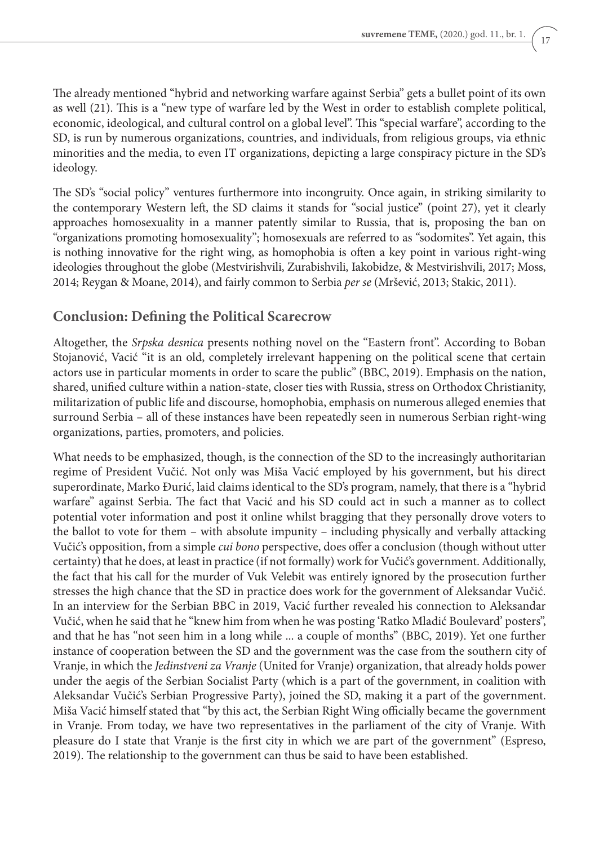The already mentioned "hybrid and networking warfare against Serbia" gets a bullet point of its own as well (21). This is a "new type of warfare led by the West in order to establish complete political, economic, ideological, and cultural control on a global level". This "special warfare", according to the SD, is run by numerous organizations, countries, and individuals, from religious groups, via ethnic minorities and the media, to even IT organizations, depicting a large conspiracy picture in the SD's ideology.

The SD's "social policy" ventures furthermore into incongruity. Once again, in striking similarity to the contemporary Western left, the SD claims it stands for "social justice" (point 27), yet it clearly approaches homosexuality in a manner patently similar to Russia, that is, proposing the ban on "organizations promoting homosexuality"; homosexuals are referred to as "sodomites". Yet again, this is nothing innovative for the right wing, as homophobia is often a key point in various right-wing ideologies throughout the globe (Mestvirishvili, Zurabishvili, Iakobidze, & Mestvirishvili, 2017; Moss, 2014; Reygan & Moane, 2014), and fairly common to Serbia *per se* (Mršević, 2013; Stakic, 2011).

### **Conclusion: Defining the Political Scarecrow**

Altogether, the *Srpska desnica* presents nothing novel on the "Eastern front". According to Boban Stojanović, Vacić "it is an old, completely irrelevant happening on the political scene that certain actors use in particular moments in order to scare the public" (BBC, 2019). Emphasis on the nation, shared, unified culture within a nation-state, closer ties with Russia, stress on Orthodox Christianity, militarization of public life and discourse, homophobia, emphasis on numerous alleged enemies that surround Serbia – all of these instances have been repeatedly seen in numerous Serbian right-wing organizations, parties, promoters, and policies.

What needs to be emphasized, though, is the connection of the SD to the increasingly authoritarian regime of President Vučić. Not only was Miša Vacić employed by his government, but his direct superordinate, Marko Đurić, laid claims identical to the SD's program, namely, that there is a "hybrid warfare" against Serbia. The fact that Vacić and his SD could act in such a manner as to collect potential voter information and post it online whilst bragging that they personally drove voters to the ballot to vote for them – with absolute impunity – including physically and verbally attacking Vučić's opposition, from a simple *cui bono* perspective, does offer a conclusion (though without utter certainty) that he does, at least in practice (if not formally) work for Vučić's government. Additionally, the fact that his call for the murder of Vuk Velebit was entirely ignored by the prosecution further stresses the high chance that the SD in practice does work for the government of Aleksandar Vučić. In an interview for the Serbian BBC in 2019, Vacić further revealed his connection to Aleksandar Vučić, when he said that he "knew him from when he was posting 'Ratko Mladić Boulevard' posters", and that he has "not seen him in a long while ... a couple of months" (BBC, 2019). Yet one further instance of cooperation between the SD and the government was the case from the southern city of Vranje, in which the *Jedinstveni za Vranje* (United for Vranje) organization, that already holds power under the aegis of the Serbian Socialist Party (which is a part of the government, in coalition with Aleksandar Vučić's Serbian Progressive Party), joined the SD, making it a part of the government. Miša Vacić himself stated that "by this act, the Serbian Right Wing officially became the government in Vranje. From today, we have two representatives in the parliament of the city of Vranje. With pleasure do I state that Vranje is the first city in which we are part of the government" (Espreso, 2019). The relationship to the government can thus be said to have been established.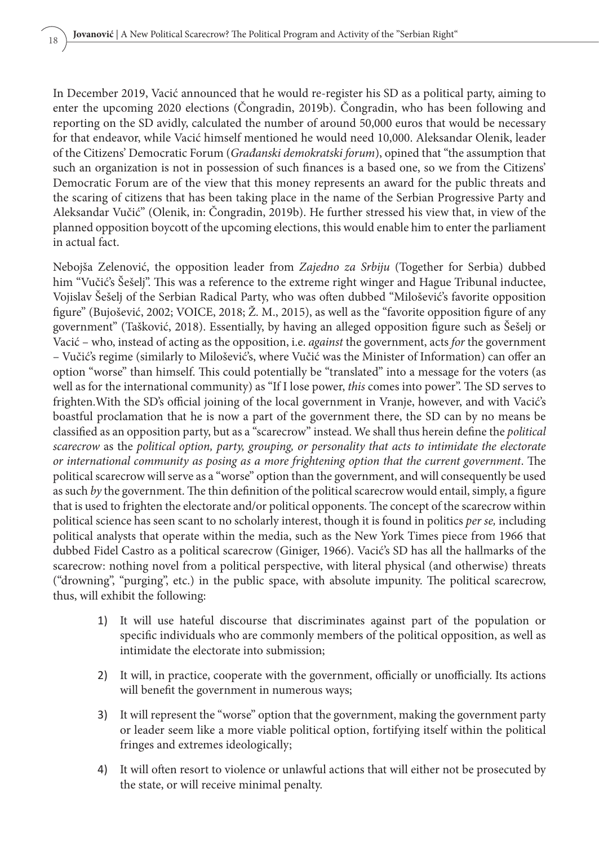In December 2019, Vacić announced that he would re-register his SD as a political party, aiming to enter the upcoming 2020 elections (Čongradin, 2019b). Čongradin, who has been following and reporting on the SD avidly, calculated the number of around 50,000 euros that would be necessary for that endeavor, while Vacić himself mentioned he would need 10,000. Aleksandar Olenik, leader of the Citizens' Democratic Forum (*Građanski demokratski forum*), opined that "the assumption that such an organization is not in possession of such finances is a based one, so we from the Citizens' Democratic Forum are of the view that this money represents an award for the public threats and the scaring of citizens that has been taking place in the name of the Serbian Progressive Party and Aleksandar Vučić" (Olenik, in: Čongradin, 2019b). He further stressed his view that, in view of the planned opposition boycott of the upcoming elections, this would enable him to enter the parliament in actual fact.

Nebojša Zelenović, the opposition leader from *Zajedno za Srbiju* (Together for Serbia) dubbed him "Vučić's Šešelj". This was a reference to the extreme right winger and Hague Tribunal inductee, Vojislav Šešelj of the Serbian Radical Party, who was often dubbed "Milošević's favorite opposition figure" (Bujošević, 2002; VOICE, 2018; Ž. M., 2015), as well as the "favorite opposition figure of any government" (Tašković, 2018). Essentially, by having an alleged opposition figure such as Šešelj or Vacić – who, instead of acting as the opposition, i.e. *against* the government, acts *for* the government – Vučić's regime (similarly to Milošević's, where Vučić was the Minister of Information) can offer an option "worse" than himself. This could potentially be "translated" into a message for the voters (as well as for the international community) as "If I lose power, *this* comes into power". The SD serves to frighten.With the SD's official joining of the local government in Vranje, however, and with Vacić's boastful proclamation that he is now a part of the government there, the SD can by no means be classified as an opposition party, but as a "scarecrow" instead. We shall thus herein define the *political scarecrow* as the *political option, party, grouping, or personality that acts to intimidate the electorate or international community as posing as a more frightening option that the current government*. The political scarecrow will serve as a "worse" option than the government, and will consequently be used as such *by* the government. The thin definition of the political scarecrow would entail, simply, a figure that is used to frighten the electorate and/or political opponents. The concept of the scarecrow within political science has seen scant to no scholarly interest, though it is found in politics *per se,* including political analysts that operate within the media, such as the New York Times piece from 1966 that dubbed Fidel Castro as a political scarecrow (Giniger, 1966). Vacić's SD has all the hallmarks of the scarecrow: nothing novel from a political perspective, with literal physical (and otherwise) threats ("drowning", "purging", etc.) in the public space, with absolute impunity. The political scarecrow, thus, will exhibit the following:

- 1) It will use hateful discourse that discriminates against part of the population or specific individuals who are commonly members of the political opposition, as well as intimidate the electorate into submission;
- 2) It will, in practice, cooperate with the government, officially or unofficially. Its actions will benefit the government in numerous ways;
- 3) It will represent the "worse" option that the government, making the government party or leader seem like a more viable political option, fortifying itself within the political fringes and extremes ideologically;
- 4) It will often resort to violence or unlawful actions that will either not be prosecuted by the state, or will receive minimal penalty.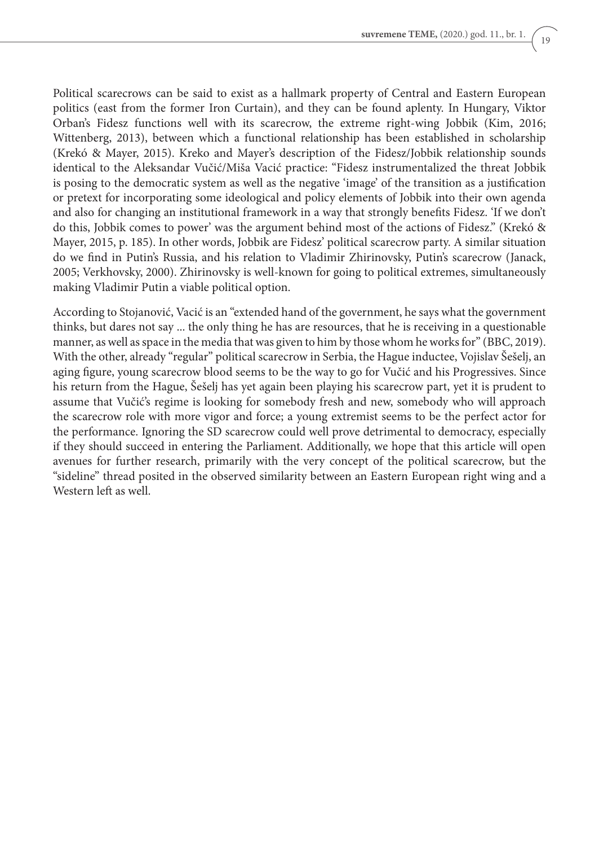Political scarecrows can be said to exist as a hallmark property of Central and Eastern European politics (east from the former Iron Curtain), and they can be found aplenty. In Hungary, Viktor Orban's Fidesz functions well with its scarecrow, the extreme right-wing Jobbik (Kim, 2016; Wittenberg, 2013), between which a functional relationship has been established in scholarship (Krekó & Mayer, 2015). Kreko and Mayer's description of the Fidesz/Jobbik relationship sounds identical to the Aleksandar Vučić/Miša Vacić practice: "Fidesz instrumentalized the threat Jobbik is posing to the democratic system as well as the negative 'image' of the transition as a justification or pretext for incorporating some ideological and policy elements of Jobbik into their own agenda and also for changing an institutional framework in a way that strongly benefits Fidesz. 'If we don't do this, Jobbik comes to power' was the argument behind most of the actions of Fidesz." (Krekó & Mayer, 2015, p. 185). In other words, Jobbik are Fidesz' political scarecrow party. A similar situation do we find in Putin's Russia, and his relation to Vladimir Zhirinovsky, Putin's scarecrow (Janack, 2005; Verkhovsky, 2000). Zhirinovsky is well-known for going to political extremes, simultaneously making Vladimir Putin a viable political option.

According to Stojanović, Vacić is an "extended hand of the government, he says what the government thinks, but dares not say ... the only thing he has are resources, that he is receiving in a questionable manner, as well as space in the media that was given to him by those whom he works for" (BBC, 2019). With the other, already "regular" political scarecrow in Serbia, the Hague inductee, Vojislav Šešelj, an aging figure, young scarecrow blood seems to be the way to go for Vučić and his Progressives. Since his return from the Hague, Šešelj has yet again been playing his scarecrow part, yet it is prudent to assume that Vučić's regime is looking for somebody fresh and new, somebody who will approach the scarecrow role with more vigor and force; a young extremist seems to be the perfect actor for the performance. Ignoring the SD scarecrow could well prove detrimental to democracy, especially if they should succeed in entering the Parliament. Additionally, we hope that this article will open avenues for further research, primarily with the very concept of the political scarecrow, but the "sideline" thread posited in the observed similarity between an Eastern European right wing and a Western left as well.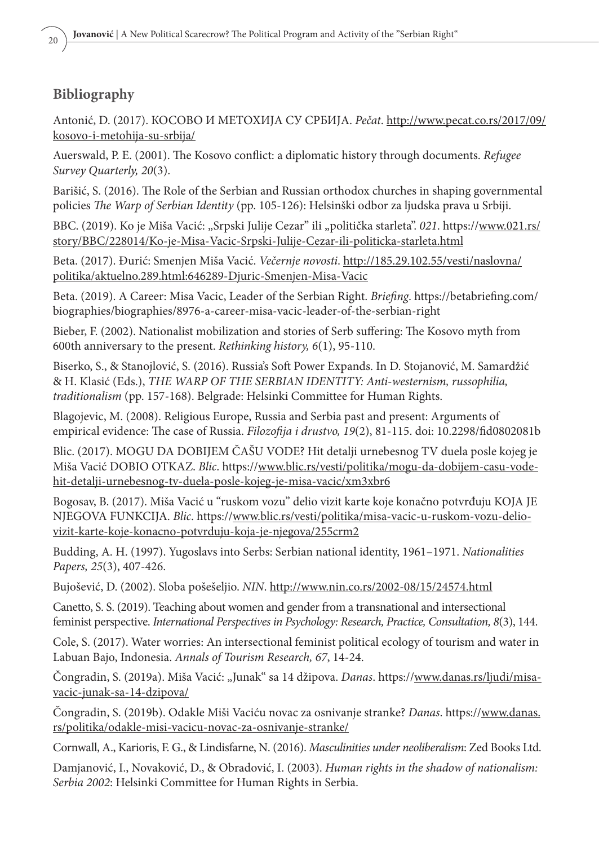## **Bibliography**

Antonić, D. (2017). КОСОВО И МЕТОХИЈА СУ СРБИЈА. *Pečat*. http://www.pecat.co.rs/2017/09/ kosovo-i-metohija-su-srbija/

Auerswald, P. E. (2001). The Kosovo conflict: a diplomatic history through documents. *Refugee Survey Quarterly, 20*(3).

Barišić, S. (2016). The Role of the Serbian and Russian orthodox churches in shaping governmental policies *The Warp of Serbian Identity* (pp. 105-126): Helsinški odbor za ljudska prava u Srbiji.

BBC. (2019). Ko je Miša Vacić: "Srpski Julije Cezar" ili "politička starleta". *021*. https://www.021.rs/ story/BBC/228014/Ko-je-Misa-Vacic-Srpski-Julije-Cezar-ili-politicka-starleta.html

Beta. (2017). Đurić: Smenjen Miša Vacić. *Večernje novosti*. http://185.29.102.55/vesti/naslovna/ politika/aktuelno.289.html:646289-Djuric-Smenjen-Misa-Vacic

Beta. (2019). A Career: Misa Vacic, Leader of the Serbian Right. *Briefing*. https://betabriefing.com/ biographies/biographies/8976-a-career-misa-vacic-leader-of-the-serbian-right

Bieber, F. (2002). Nationalist mobilization and stories of Serb suffering: The Kosovo myth from 600th anniversary to the present. *Rethinking history, 6*(1), 95-110.

Biserko, S., & Stanojlović, S. (2016). Russia's Soft Power Expands. In D. Stojanović, M. Samardžić & H. Klasić (Eds.), *THE WARP OF THE SERBIAN IDENTITY: Anti-westernism, russophilia, traditionalism* (pp. 157-168). Belgrade: Helsinki Committee for Human Rights.

Blagojevic, M. (2008). Religious Europe, Russia and Serbia past and present: Arguments of empirical evidence: The case of Russia. *Filozofija i drustvo, 19*(2), 81-115. doi: 10.2298/fid0802081b

Blic. (2017). MOGU DA DOBIJEM ČAŠU VODE? Hit detalji urnebesnog TV duela posle kojeg je Miša Vacić DOBIO OTKAZ. *Blic*. https://www.blic.rs/vesti/politika/mogu-da-dobijem-casu-vodehit-detalji-urnebesnog-tv-duela-posle-kojeg-je-misa-vacic/xm3xbr6

Bogosav, B. (2017). Miša Vacić u "ruskom vozu" delio vizit karte koje konačno potvrđuju KOJA JE NJEGOVA FUNKCIJA. *Blic*. https://www.blic.rs/vesti/politika/misa-vacic-u-ruskom-vozu-deliovizit-karte-koje-konacno-potvrduju-koja-je-njegova/255crm2

Budding, A. H. (1997). Yugoslavs into Serbs: Serbian national identity, 1961–1971. *Nationalities Papers, 25*(3), 407-426.

Bujošević, D. (2002). Sloba pošešeljio. *NIN*. http://www.nin.co.rs/2002-08/15/24574.html

Canetto, S. S. (2019). Teaching about women and gender from a transnational and intersectional feminist perspective. *International Perspectives in Psychology: Research, Practice, Consultation, 8*(3), 144.

Cole, S. (2017). Water worries: An intersectional feminist political ecology of tourism and water in Labuan Bajo, Indonesia. *Annals of Tourism Research, 67*, 14-24.

Čongradin, S. (2019a). Miša Vacić: "Junak" sa 14 džipova. *Danas*. https://www.danas.rs/ljudi/misavacic-junak-sa-14-dzipova/

Čongradin, S. (2019b). Odakle Miši Vaciću novac za osnivanje stranke? *Danas*. https://www.danas. rs/politika/odakle-misi-vacicu-novac-za-osnivanje-stranke/

Cornwall, A., Karioris, F. G., & Lindisfarne, N. (2016). *Masculinities under neoliberalism*: Zed Books Ltd.

Damjanović, I., Novaković, D., & Obradović, I. (2003). *Human rights in the shadow of nationalism: Serbia 2002*: Helsinki Committee for Human Rights in Serbia.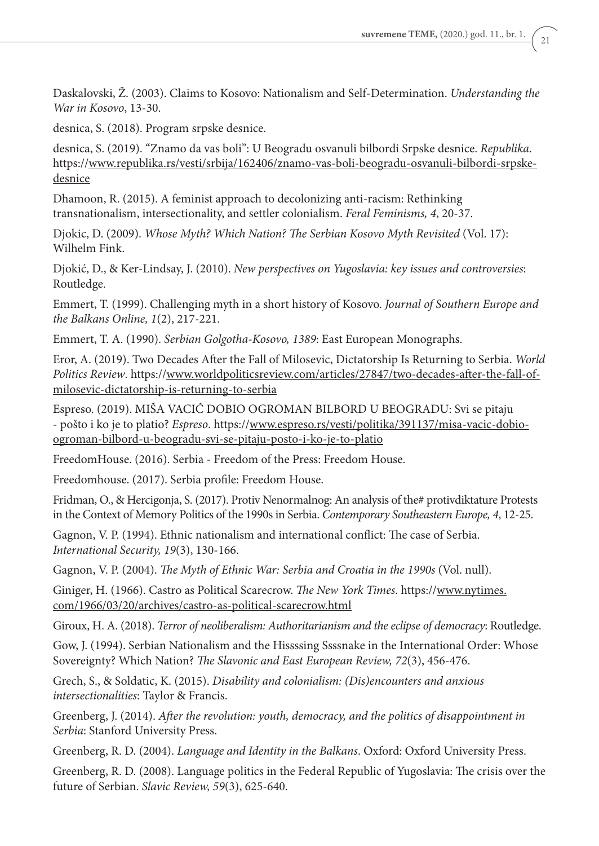Daskalovski, Ž. (2003). Claims to Kosovo: Nationalism and Self-Determination. *Understanding the War in Kosovo*, 13-30.

desnica, S. (2018). Program srpske desnice.

desnica, S. (2019). "Znamo da vas boli": U Beogradu osvanuli bilbordi Srpske desnice. *Republika*. https://www.republika.rs/vesti/srbija/162406/znamo-vas-boli-beogradu-osvanuli-bilbordi-srpskedesnice

Dhamoon, R. (2015). A feminist approach to decolonizing anti-racism: Rethinking transnationalism, intersectionality, and settler colonialism. *Feral Feminisms, 4*, 20-37.

Djokic, D. (2009). *Whose Myth? Which Nation? The Serbian Kosovo Myth Revisited* (Vol. 17): Wilhelm Fink.

Djokić, D., & Ker-Lindsay, J. (2010). *New perspectives on Yugoslavia: key issues and controversies*: Routledge.

Emmert, T. (1999). Challenging myth in a short history of Kosovo. *Journal of Southern Europe and the Balkans Online, 1*(2), 217-221.

Emmert, T. A. (1990). *Serbian Golgotha-Kosovo, 1389*: East European Monographs.

Eror, A. (2019). Two Decades After the Fall of Milosevic, Dictatorship Is Returning to Serbia. *World Politics Review*. https://www.worldpoliticsreview.com/articles/27847/two-decades-after-the-fall-ofmilosevic-dictatorship-is-returning-to-serbia

Espreso. (2019). MIŠA VACIĆ DOBIO OGROMAN BILBORD U BEOGRADU: Svi se pitaju - pošto i ko je to platio? *Espreso*. https://www.espreso.rs/vesti/politika/391137/misa-vacic-dobioogroman-bilbord-u-beogradu-svi-se-pitaju-posto-i-ko-je-to-platio

FreedomHouse. (2016). Serbia - Freedom of the Press: Freedom House.

Freedomhouse. (2017). Serbia profile: Freedom House.

Fridman, O., & Hercigonja, S. (2017). Protiv Nenormalnog: An analysis of the# protivdiktature Protests in the Context of Memory Politics of the 1990s in Serbia. *Contemporary Southeastern Europe, 4*, 12-25.

Gagnon, V. P. (1994). Ethnic nationalism and international conflict: The case of Serbia. *International Security, 19*(3), 130-166.

Gagnon, V. P. (2004). *The Myth of Ethnic War: Serbia and Croatia in the 1990s* (Vol. null).

Giniger, H. (1966). Castro as Political Scarecrow. *The New York Times*. https://www.nytimes. com/1966/03/20/archives/castro-as-political-scarecrow.html

Giroux, H. A. (2018). *Terror of neoliberalism: Authoritarianism and the eclipse of democracy*: Routledge.

Gow, J. (1994). Serbian Nationalism and the Hissssing Ssssnake in the International Order: Whose Sovereignty? Which Nation? *The Slavonic and East European Review, 72*(3), 456-476.

Grech, S., & Soldatic, K. (2015). *Disability and colonialism: (Dis)encounters and anxious intersectionalities*: Taylor & Francis.

Greenberg, J. (2014). *After the revolution: youth, democracy, and the politics of disappointment in Serbia*: Stanford University Press.

Greenberg, R. D. (2004). *Language and Identity in the Balkans*. Oxford: Oxford University Press.

Greenberg, R. D. (2008). Language politics in the Federal Republic of Yugoslavia: The crisis over the future of Serbian. *Slavic Review, 59*(3), 625-640.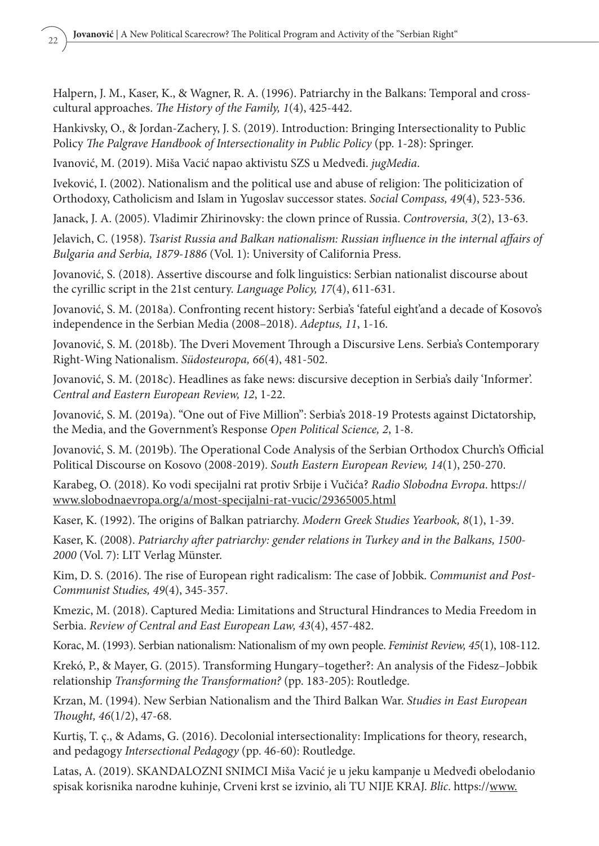Halpern, J. M., Kaser, K., & Wagner, R. A. (1996). Patriarchy in the Balkans: Temporal and crosscultural approaches. *The History of the Family, 1*(4), 425-442.

Hankivsky, O., & Jordan-Zachery, J. S. (2019). Introduction: Bringing Intersectionality to Public Policy *The Palgrave Handbook of Intersectionality in Public Policy* (pp. 1-28): Springer.

Ivanović, M. (2019). Miša Vacić napao aktivistu SZS u Medveđi. *jugMedia*.

Iveković, I. (2002). Nationalism and the political use and abuse of religion: The politicization of Orthodoxy, Catholicism and Islam in Yugoslav successor states. *Social Compass, 49*(4), 523-536.

Janack, J. A. (2005). Vladimir Zhirinovsky: the clown prince of Russia. *Controversia, 3*(2), 13-63.

Jelavich, C. (1958). *Tsarist Russia and Balkan nationalism: Russian influence in the internal affairs of Bulgaria and Serbia, 1879-1886* (Vol. 1): University of California Press.

Jovanović, S. (2018). Assertive discourse and folk linguistics: Serbian nationalist discourse about the cyrillic script in the 21st century. *Language Policy, 17*(4), 611-631.

Jovanović, S. M. (2018a). Confronting recent history: Serbia's 'fateful eight'and a decade of Kosovo's independence in the Serbian Media (2008–2018). *Adeptus, 11*, 1-16.

Jovanović, S. M. (2018b). The Dveri Movement Through a Discursive Lens. Serbia's Contemporary Right-Wing Nationalism. *Südosteuropa, 66*(4), 481-502.

Jovanović, S. M. (2018c). Headlines as fake news: discursive deception in Serbia's daily 'Informer'. *Central and Eastern European Review, 12*, 1-22.

Jovanović, S. M. (2019a). "One out of Five Million": Serbia's 2018-19 Protests against Dictatorship, the Media, and the Government's Response *Open Political Science, 2*, 1-8.

Jovanović, S. M. (2019b). The Operational Code Analysis of the Serbian Orthodox Church's Official Political Discourse on Kosovo (2008-2019). *South Eastern European Review, 14*(1), 250-270.

Karabeg, O. (2018). Ko vodi specijalni rat protiv Srbije i Vučića? *Radio Slobodna Evropa*. https:// www.slobodnaevropa.org/a/most-specijalni-rat-vucic/29365005.html

Kaser, K. (1992). The origins of Balkan patriarchy. *Modern Greek Studies Yearbook, 8*(1), 1-39.

Kaser, K. (2008). *Patriarchy after patriarchy: gender relations in Turkey and in the Balkans, 1500- 2000* (Vol. 7): LIT Verlag Münster.

Kim, D. S. (2016). The rise of European right radicalism: The case of Jobbik. *Communist and Post-Communist Studies, 49*(4), 345-357.

Kmezic, M. (2018). Captured Media: Limitations and Structural Hindrances to Media Freedom in Serbia. *Review of Central and East European Law, 43*(4), 457-482.

Korac, M. (1993). Serbian nationalism: Nationalism of my own people. *Feminist Review, 45*(1), 108-112.

Krekó, P., & Mayer, G. (2015). Transforming Hungary–together?: An analysis of the Fidesz–Jobbik relationship *Transforming the Transformation?* (pp. 183-205): Routledge.

Krzan, M. (1994). New Serbian Nationalism and the Third Balkan War. *Studies in East European Thought, 46*(1/2), 47-68.

Kurtiş, T. ç., & Adams, G. (2016). Decolonial intersectionality: Implications for theory, research, and pedagogy *Intersectional Pedagogy* (pp. 46-60): Routledge.

Latas, A. (2019). SKANDALOZNI SNIMCI Miša Vacić je u jeku kampanje u Medveđi obelodanio spisak korisnika narodne kuhinje, Crveni krst se izvinio, ali TU NIJE KRAJ. *Blic*. https://www.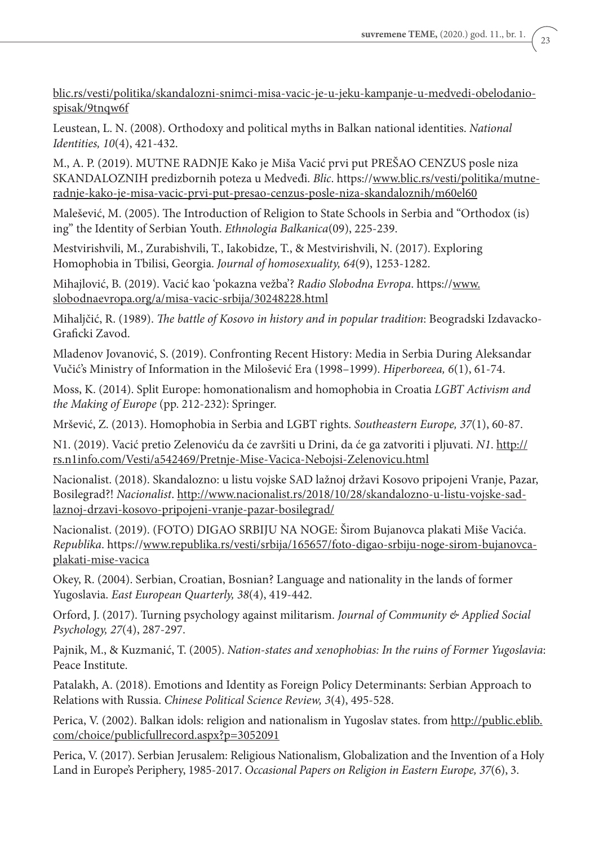blic.rs/vesti/politika/skandalozni-snimci-misa-vacic-je-u-jeku-kampanje-u-medvedi-obelodaniospisak/9tnqw6f

Leustean, L. N. (2008). Orthodoxy and political myths in Balkan national identities. *National Identities, 10*(4), 421-432.

M., A. P. (2019). MUTNE RADNJE Kako je Miša Vacić prvi put PREŠAO CENZUS posle niza SKANDALOZNIH predizbornih poteza u Medveđi. *Blic*. https://www.blic.rs/vesti/politika/mutneradnje-kako-je-misa-vacic-prvi-put-presao-cenzus-posle-niza-skandaloznih/m60el60

Malešević, M. (2005). The Introduction of Religion to State Schools in Serbia and "Orthodox (is) ing" the Identity of Serbian Youth. *Ethnologia Balkanica*(09), 225-239.

Mestvirishvili, M., Zurabishvili, T., Iakobidze, T., & Mestvirishvili, N. (2017). Exploring Homophobia in Tbilisi, Georgia. *Journal of homosexuality, 64*(9), 1253-1282.

Mihajlović, B. (2019). Vacić kao 'pokazna vežba'? *Radio Slobodna Evropa*. https://www. slobodnaevropa.org/a/misa-vacic-srbija/30248228.html

Mihaljčić, R. (1989). *The battle of Kosovo in history and in popular tradition*: Beogradski Izdavacko-Graficki Zavod.

Mladenov Jovanović, S. (2019). Confronting Recent History: Media in Serbia During Aleksandar Vučić's Ministry of Information in the Milošević Era (1998–1999). *Hiperboreea, 6*(1), 61-74.

Moss, K. (2014). Split Europe: homonationalism and homophobia in Croatia *LGBT Activism and the Making of Europe* (pp. 212-232): Springer.

Mršević, Z. (2013). Homophobia in Serbia and LGBT rights. *Southeastern Europe, 37*(1), 60-87.

N1. (2019). Vacić pretio Zelenoviću da će završiti u Drini, da će ga zatvoriti i pljuvati. *N1*. http:// rs.n1info.com/Vesti/a542469/Pretnje-Mise-Vacica-Nebojsi-Zelenovicu.html

Nacionalist. (2018). Skandalozno: u listu vojske SAD lažnoj državi Kosovo pripojeni Vranje, Pazar, Bosilegrad?! *Nacionalist*. http://www.nacionalist.rs/2018/10/28/skandalozno-u-listu-vojske-sadlaznoj-drzavi-kosovo-pripojeni-vranje-pazar-bosilegrad/

Nacionalist. (2019). (FOTO) DIGAO SRBIJU NA NOGE: Širom Bujanovca plakati Miše Vacića. *Republika*. https://www.republika.rs/vesti/srbija/165657/foto-digao-srbiju-noge-sirom-bujanovcaplakati-mise-vacica

Okey, R. (2004). Serbian, Croatian, Bosnian? Language and nationality in the lands of former Yugoslavia. *East European Quarterly, 38*(4), 419-442.

Orford, J. (2017). Turning psychology against militarism. *Journal of Community & Applied Social Psychology, 27*(4), 287-297.

Pajnik, M., & Kuzmanić, T. (2005). *Nation-states and xenophobias: In the ruins of Former Yugoslavia*: Peace Institute.

Patalakh, A. (2018). Emotions and Identity as Foreign Policy Determinants: Serbian Approach to Relations with Russia. *Chinese Political Science Review, 3*(4), 495-528.

Perica, V. (2002). Balkan idols: religion and nationalism in Yugoslav states. from http://public.eblib. com/choice/publicfullrecord.aspx?p=3052091

Perica, V. (2017). Serbian Jerusalem: Religious Nationalism, Globalization and the Invention of a Holy Land in Europe's Periphery, 1985-2017. *Occasional Papers on Religion in Eastern Europe, 37*(6), 3.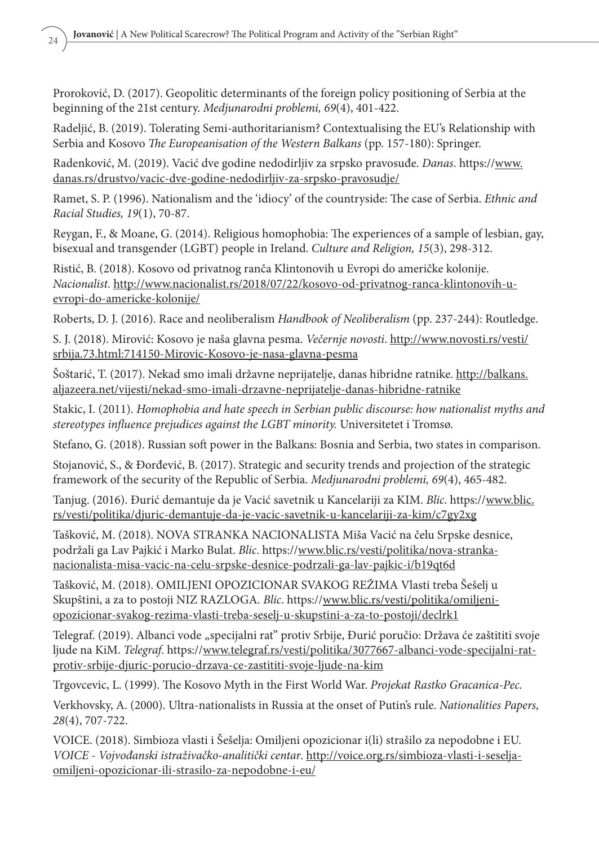Proroković, D. (2017). Geopolitic determinants of the foreign policy positioning of Serbia at the beginning of the 21st century. *Medjunarodni problemi, 69*(4), 401-422.

Radeljić, B. (2019). Tolerating Semi-authoritarianism? Contextualising the EU's Relationship with Serbia and Kosovo *The Europeanisation of the Western Balkans* (pp. 157-180): Springer.

Radenković, M. (2019). Vacić dve godine nedodirljiv za srpsko pravosuđe. *Danas*. https://www. danas.rs/drustvo/vacic-dve-godine-nedodirljiv-za-srpsko-pravosudje/

Ramet, S. P. (1996). Nationalism and the 'idiocy' of the countryside: The case of Serbia. *Ethnic and Racial Studies, 19*(1), 70-87.

Reygan, F., & Moane, G. (2014). Religious homophobia: The experiences of a sample of lesbian, gay, bisexual and transgender (LGBT) people in Ireland. *Culture and Religion, 15*(3), 298-312.

Ristić, B. (2018). Kosovo od privatnog ranča Klintonovih u Evropi do američke kolonije. *Nacionalist*. http://www.nacionalist.rs/2018/07/22/kosovo-od-privatnog-ranca-klintonovih-uevropi-do-americke-kolonije/

Roberts, D. J. (2016). Race and neoliberalism *Handbook of Neoliberalism* (pp. 237-244): Routledge.

S. J. (2018). Mirović: Kosovo je naša glavna pesma. *Večernje novosti*. http://www.novosti.rs/vesti/ srbija.73.html:714150-Mirovic-Kosovo-je-nasa-glavna-pesma

Šoštarić, T. (2017). Nekad smo imali državne neprijatelje, danas hibridne ratnike. http://balkans. aljazeera.net/vijesti/nekad-smo-imali-drzavne-neprijatelje-danas-hibridne-ratnike

Stakic, I. (2011). *Homophobia and hate speech in Serbian public discourse: how nationalist myths and stereotypes influence prejudices against the LGBT minority.* Universitetet i Tromsø.

Stefano, G. (2018). Russian soft power in the Balkans: Bosnia and Serbia, two states in comparison.

Stojanović, S., & Đorđević, B. (2017). Strategic and security trends and projection of the strategic framework of the security of the Republic of Serbia. *Medjunarodni problemi, 69*(4), 465-482.

Tanjug. (2016). Đurić demantuje da je Vacić savetnik u Kancelariji za KIM. *Blic*. https://www.blic. rs/vesti/politika/djuric-demantuje-da-je-vacic-savetnik-u-kancelariji-za-kim/c7gy2xg

Tašković, M. (2018). NOVA STRANKA NACIONALISTA Miša Vacić na čelu Srpske desnice, podržali ga Lav Pajkić i Marko Bulat. *Blic*. https://www.blic.rs/vesti/politika/nova-strankanacionalista-misa-vacic-na-celu-srpske-desnice-podrzali-ga-lav-pajkic-i/b19qt6d

Tašković, M. (2018). OMILJENI OPOZICIONAR SVAKOG REŽIMA Vlasti treba Šešelj u Skupštini, a za to postoji NIZ RAZLOGA. *Blic*. https://www.blic.rs/vesti/politika/omiljeniopozicionar-svakog-rezima-vlasti-treba-seselj-u-skupstini-a-za-to-postoji/declrk1

Telegraf. (2019). Albanci vode "specijalni rat" protiv Srbije, Đurić poručio: Država će zaštititi svoje ljude na KiM. *Telegraf*. https://www.telegraf.rs/vesti/politika/3077667-albanci-vode-specijalni-ratprotiv-srbije-djuric-porucio-drzava-ce-zastititi-svoje-ljude-na-kim

Trgovcevic, L. (1999). The Kosovo Myth in the First World War. *Projekat Rastko Gracanica-Pec*.

Verkhovsky, A. (2000). Ultra-nationalists in Russia at the onset of Putin's rule. *Nationalities Papers, 28*(4), 707-722.

VOICE. (2018). Simbioza vlasti i Šešelja: Omiljeni opozicionar i(li) strašilo za nepodobne i EU. *VOICE - Vojvođanski istraživačko-analitički centar*. http://voice.org.rs/simbioza-vlasti-i-seseljaomiljeni-opozicionar-ili-strasilo-za-nepodobne-i-eu/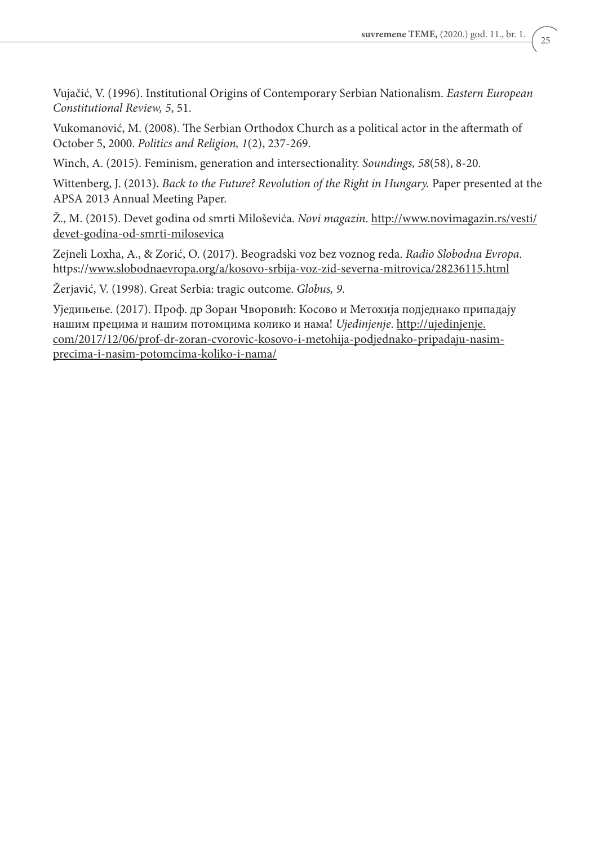**suvremene TEME,** (2020.) god. 11., br. 1.

Vujačić, V. (1996). Institutional Origins of Contemporary Serbian Nationalism. *Eastern European Constitutional Review, 5*, 51.

Vukomanović, M. (2008). The Serbian Orthodox Church as a political actor in the aftermath of October 5, 2000. *Politics and Religion, 1*(2), 237-269.

Winch, A. (2015). Feminism, generation and intersectionality. *Soundings, 58*(58), 8-20.

Wittenberg, J. (2013). *Back to the Future? Revolution of the Right in Hungary.* Paper presented at the APSA 2013 Annual Meeting Paper.

Ž., M. (2015). Devet godina od smrti Miloševića. *Novi magazin*. http://www.novimagazin.rs/vesti/ devet-godina-od-smrti-milosevica

Zejneli Loxha, A., & Zorić, O. (2017). Beogradski voz bez voznog reda. *Radio Slobodna Evropa*. https://www.slobodnaevropa.org/a/kosovo-srbija-voz-zid-severna-mitrovica/28236115.html

Žerjavić, V. (1998). Great Serbia: tragic outcome. *Globus, 9*.

Уједињење. (2017). Проф. др Зоран Чворовић: Косово и Метохија подједнако припадају нашим прецима и нашим потомцима колико и нама! *Ujedinjenje*. http://ujedinjenje. com/2017/12/06/prof-dr-zoran-cvorovic-kosovo-i-metohija-podjednako-pripadaju-nasimprecima-i-nasim-potomcima-koliko-i-nama/